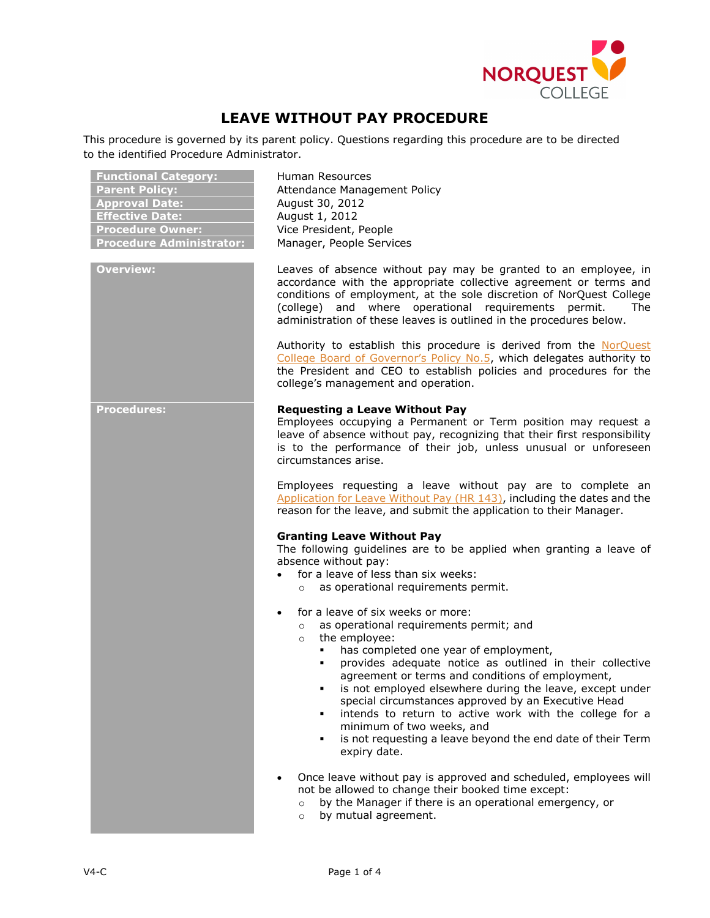

# **LEAVE WITHOUT PAY PROCEDURE**

This procedure is governed by its parent policy. Questions regarding this procedure are to be directed to the identified Procedure Administrator.

| <b>Functional Category:</b><br><b>Parent Policy:</b><br><b>Approval Date:</b><br><b>Effective Date:</b><br><b>Procedure Owner:</b><br><b>Procedure Administrator:</b> | Human Resources<br>Attendance Management Policy<br>August 30, 2012<br>August 1, 2012<br>Vice President, People<br>Manager, People Services                                                                                                                                                                                                                                                                                                                                                                                                                                                 |
|-----------------------------------------------------------------------------------------------------------------------------------------------------------------------|--------------------------------------------------------------------------------------------------------------------------------------------------------------------------------------------------------------------------------------------------------------------------------------------------------------------------------------------------------------------------------------------------------------------------------------------------------------------------------------------------------------------------------------------------------------------------------------------|
| <b>Overview:</b>                                                                                                                                                      | Leaves of absence without pay may be granted to an employee, in<br>accordance with the appropriate collective agreement or terms and<br>conditions of employment, at the sole discretion of NorQuest College<br>(college) and where operational requirements permit.<br><b>The</b><br>administration of these leaves is outlined in the procedures below.                                                                                                                                                                                                                                  |
|                                                                                                                                                                       | Authority to establish this procedure is derived from the NorOuest<br>College Board of Governor's Policy No.5, which delegates authority to<br>the President and CEO to establish policies and procedures for the<br>college's management and operation.                                                                                                                                                                                                                                                                                                                                   |
| <b>Procedures:</b>                                                                                                                                                    | <b>Requesting a Leave Without Pay</b><br>Employees occupying a Permanent or Term position may request a<br>leave of absence without pay, recognizing that their first responsibility<br>is to the performance of their job, unless unusual or unforeseen<br>circumstances arise.                                                                                                                                                                                                                                                                                                           |
|                                                                                                                                                                       | Employees requesting a leave without pay are to complete an<br>Application for Leave Without Pay (HR 143), including the dates and the<br>reason for the leave, and submit the application to their Manager.                                                                                                                                                                                                                                                                                                                                                                               |
|                                                                                                                                                                       | <b>Granting Leave Without Pay</b><br>The following guidelines are to be applied when granting a leave of<br>absence without pay:<br>for a leave of less than six weeks:<br>$\bullet$<br>as operational requirements permit.<br>$\circ$                                                                                                                                                                                                                                                                                                                                                     |
|                                                                                                                                                                       | for a leave of six weeks or more:<br>$\bullet$<br>as operational requirements permit; and<br>$\circ$<br>the employee:<br>$\circ$<br>has completed one year of employment,<br>provides adequate notice as outlined in their collective<br>agreement or terms and conditions of employment,<br>" is not employed elsewhere during the leave, except under<br>special circumstances approved by an Executive Head<br>intends to return to active work with the college for a<br>٠<br>minimum of two weeks, and<br>is not requesting a leave beyond the end date of their Term<br>expiry date. |
|                                                                                                                                                                       | Once leave without pay is approved and scheduled, employees will<br>not be allowed to change their booked time except:<br>by the Manager if there is an operational emergency, or<br>$\circ$<br>by mutual agreement.<br>$\circ$                                                                                                                                                                                                                                                                                                                                                            |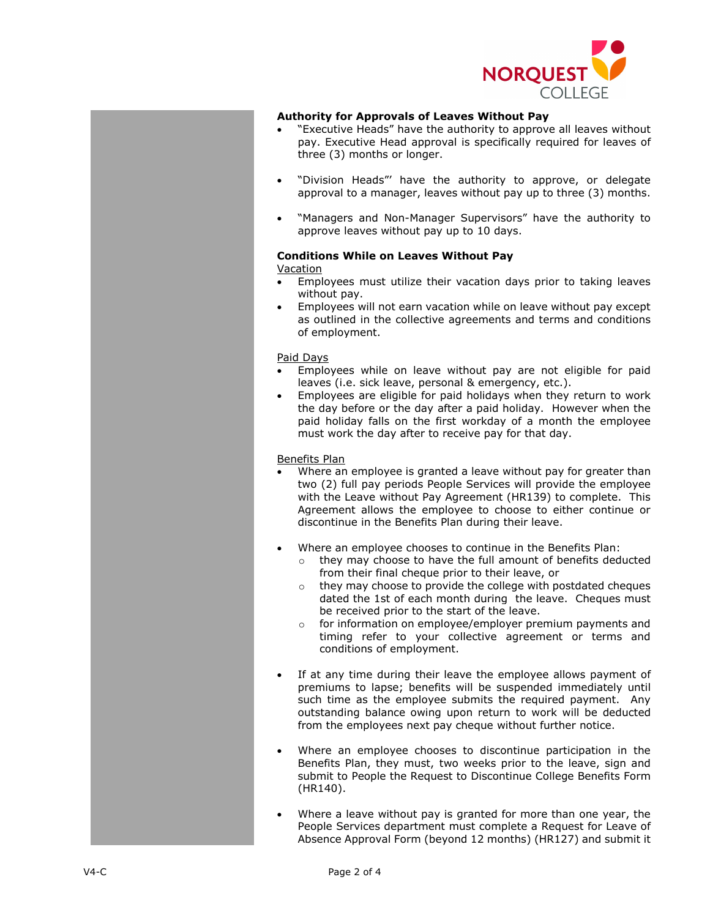

### **Authority for Approvals of Leaves Without Pay**

- "Executive Heads" have the authority to approve all leaves without pay. Executive Head approval is specifically required for leaves of three (3) months or longer.
- "Division Heads"' have the authority to approve, or delegate approval to a manager, leaves without pay up to three (3) months.
- "Managers and Non-Manager Supervisors" have the authority to approve leaves without pay up to 10 days.

#### **Conditions While on Leaves Without Pay Vacation**

- Employees must utilize their vacation days prior to taking leaves without pay.
- Employees will not earn vacation while on leave without pay except as outlined in the collective agreements and terms and conditions of employment.

### Paid Days

- Employees while on leave without pay are not eligible for paid leaves (i.e. sick leave, personal & emergency, etc.).
- Employees are eligible for paid holidays when they return to work the day before or the day after a paid holiday. However when the paid holiday falls on the first workday of a month the employee must work the day after to receive pay for that day.

#### Benefits Plan

- Where an employee is granted a leave without pay for greater than two (2) full pay periods People Services will provide the employee with the Leave without Pay Agreement (HR139) to complete. This Agreement allows the employee to choose to either continue or discontinue in the Benefits Plan during their leave.
- Where an employee chooses to continue in the Benefits Plan:
	- o they may choose to have the full amount of benefits deducted from their final cheque prior to their leave, or
	- o they may choose to provide the college with postdated cheques dated the 1st of each month during the leave. Cheques must be received prior to the start of the leave.
	- o for information on employee/employer premium payments and timing refer to your collective agreement or terms and conditions of employment.
- If at any time during their leave the employee allows payment of premiums to lapse; benefits will be suspended immediately until such time as the employee submits the required payment. Any outstanding balance owing upon return to work will be deducted from the employees next pay cheque without further notice.
- Where an employee chooses to discontinue participation in the Benefits Plan, they must, two weeks prior to the leave, sign and submit to People the Request to Discontinue College Benefits Form (HR140).
- Where a leave without pay is granted for more than one year, the People Services department must complete a Request for Leave of Absence Approval Form (beyond 12 months) (HR127) and submit it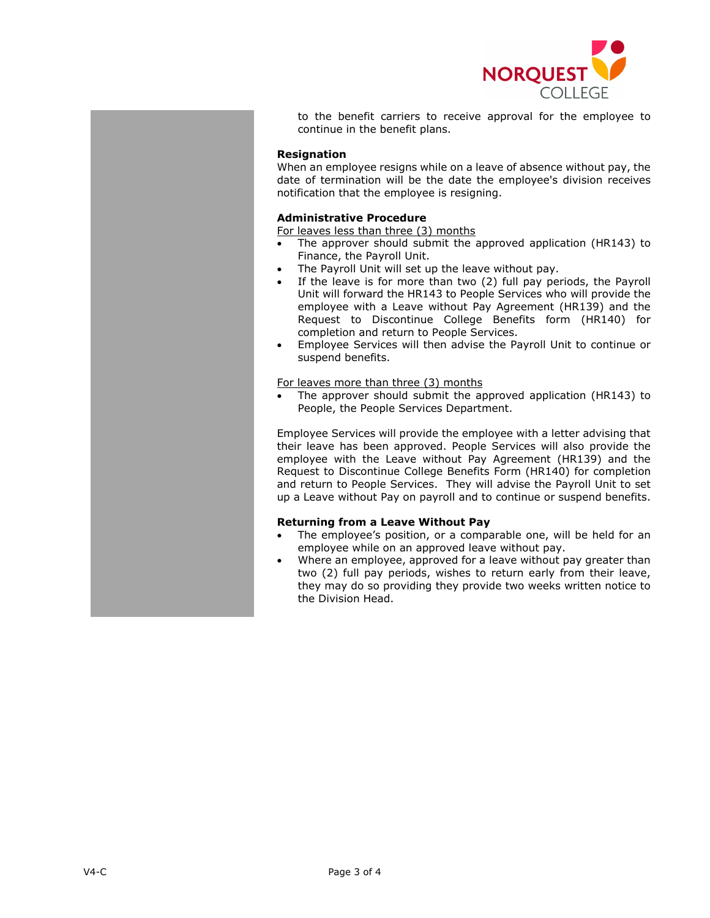

to the benefit carriers to receive approval for the employee to continue in the benefit plans.

## **Resignation**

When an employee resigns while on a leave of absence without pay, the date of termination will be the date the employee's division receives notification that the employee is resigning.

## **Administrative Procedure**

For leaves less than three (3) months

- The approver should submit the approved application (HR143) to Finance, the Payroll Unit.
- The Payroll Unit will set up the leave without pay.
- If the leave is for more than two (2) full pay periods, the Payroll Unit will forward the HR143 to People Services who will provide the employee with a Leave without Pay Agreement (HR139) and the Request to Discontinue College Benefits form (HR140) for completion and return to People Services.
- Employee Services will then advise the Payroll Unit to continue or suspend benefits.

#### For leaves more than three (3) months

The approver should submit the approved application (HR143) to People, the People Services Department.

Employee Services will provide the employee with a letter advising that their leave has been approved. People Services will also provide the employee with the Leave without Pay Agreement (HR139) and the Request to Discontinue College Benefits Form (HR140) for completion and return to People Services. They will advise the Payroll Unit to set up a Leave without Pay on payroll and to continue or suspend benefits.

#### **Returning from a Leave Without Pay**

- The employee's position, or a comparable one, will be held for an employee while on an approved leave without pay.
- Where an employee, approved for a leave without pay greater than two (2) full pay periods, wishes to return early from their leave, they may do so providing they provide two weeks written notice to the Division Head.